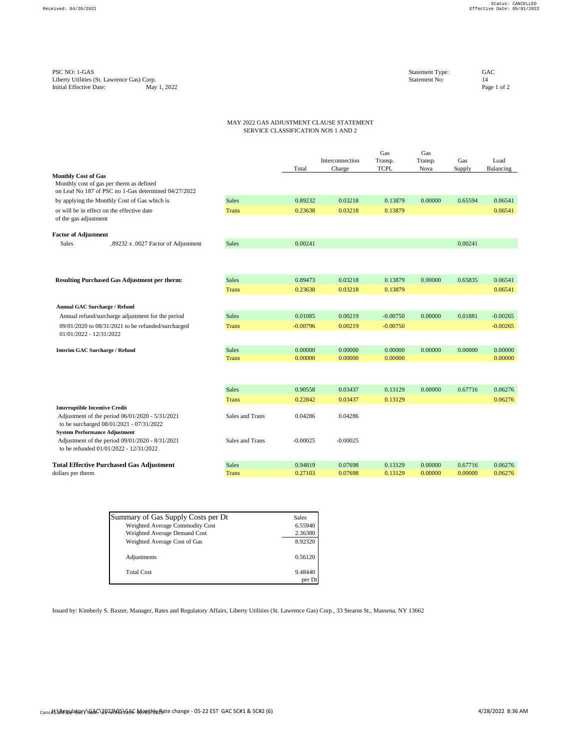## MAY 2022 GAS ADJUSTMENT CLAUSE STATEMENT SERVICE CLASSIFICATION NOS 1 AND 2

|                                       |                                                                                                  |                              | Total              | Interconnection<br>Charge | Gas<br>Transp.<br><b>TCPL</b> | Gas<br>Transp.<br>Nova | Gas<br>Supply | Load<br>Balancing  |
|---------------------------------------|--------------------------------------------------------------------------------------------------|------------------------------|--------------------|---------------------------|-------------------------------|------------------------|---------------|--------------------|
| <b>Monthly Cost of Gas</b>            | Monthly cost of gas per therm as defined<br>on Leaf No 187 of PSC no 1-Gas determined 04/27/2022 |                              |                    |                           |                               |                        |               |                    |
|                                       | by applying the Monthly Cost of Gas which is                                                     | <b>Sales</b>                 | 0.89232            | 0.03218                   | 0.13879                       | 0.00000                | 0.65594       | 0.06541            |
| of the gas adjustment                 | or will be in effect on the effective date                                                       | <b>Trans</b>                 | 0.23638            | 0.03218                   | 0.13879                       |                        |               | 0.06541            |
| <b>Factor of Adjustment</b>           |                                                                                                  |                              |                    |                           |                               |                        |               |                    |
| <b>Sales</b>                          | .89232 x .0027 Factor of Adjustment                                                              | <b>Sales</b>                 | 0.00241            |                           |                               |                        | 0.00241       |                    |
|                                       |                                                                                                  |                              |                    |                           |                               |                        |               |                    |
|                                       | <b>Resulting Purchased Gas Adjustment per therm:</b>                                             | <b>Sales</b>                 | 0.89473            | 0.03218                   | 0.13879                       | 0.00000                | 0.65835       | 0.06541            |
|                                       |                                                                                                  | <b>Trans</b>                 | 0.23638            | 0.03218                   | 0.13879                       |                        |               | 0.06541            |
| <b>Annual GAC Surcharge / Refund</b>  |                                                                                                  |                              |                    |                           |                               |                        |               |                    |
|                                       | Annual refund/surcharge adjustment for the period                                                | <b>Sales</b>                 | 0.01085            | 0.00219                   | $-0.00750$                    | 0.00000                | 0.01881       | $-0.00265$         |
| $01/01/2022 - 12/31/2022$             | 09/01/2020 to 08/31/2021 to be refunded/surcharged                                               | <b>Trans</b>                 | $-0.00796$         | 0.00219                   | $-0.00750$                    |                        |               | $-0.00265$         |
| <b>Interim GAC Surcharge / Refund</b> |                                                                                                  | <b>Sales</b><br><b>Trans</b> | 0.00000<br>0.00000 | 0.00000<br>0.00000        | 0.00000<br>0.00000            | 0.00000                | 0.00000       | 0.00000<br>0.00000 |
|                                       |                                                                                                  |                              |                    |                           |                               |                        |               |                    |
|                                       |                                                                                                  | <b>Sales</b>                 | 0.90558            | 0.03437                   | 0.13129                       | 0.00000                | 0.67716       | 0.06276            |
|                                       |                                                                                                  | <b>Trans</b>                 | 0.22842            | 0.03437                   | 0.13129                       |                        |               | 0.06276            |
| <b>Interruptible Incentive Credit</b> | Adjustment of the period 06/01/2020 - 5/31/2021<br>to be surcharged 08/01/2021 - 07/31/2022      | Sales and Trans              | 0.04286            | 0.04286                   |                               |                        |               |                    |
| <b>System Performance Adjustment</b>  | Adjustment of the period 09/01/2020 - 8/31/2021<br>to be refunded 01/01/2022 - 12/31/2022        | Sales and Trans              | $-0.00025$         | $-0.00025$                |                               |                        |               |                    |
|                                       | <b>Total Effective Purchased Gas Adjustment</b>                                                  | <b>Sales</b>                 | 0.94819            | 0.07698                   | 0.13129                       | 0.00000                | 0.67716       | 0.06276            |
| dollars per therm                     |                                                                                                  | <b>Trans</b>                 | 0.27103            | 0.07698                   | 0.13129                       | 0.00000                | 0.00000       | 0.06276            |

| Summary of Gas Supply Costs per Dt  | Sales   |
|-------------------------------------|---------|
| Weighted Average Commodity Cost     | 6.55940 |
| <b>Weighted Average Demand Cost</b> | 2.36380 |
| Weighted Average Cost of Gas        | 8.92320 |
| Adjustments                         | 0.56120 |
| <b>Total Cost</b>                   | 9.48440 |
|                                     | per Dt  |

Issued by: Kimberly S. Baxter, Manager, Rates and Regulatory Affairs, Liberty Utilities (St. Lawrence Gas) Corp., 33 Stearns St., Massena, NY 13662

 $_{\rm Canc}$ ዘ:\Regylatory\GAC\2022\05\GAC Monthly Rate change - 05-22 EST GAC SC#1 & SC#2 (6) 4/28/2022 8:36 AM

PSC NO: 1-GAS Statement Type: GAC<br>
Liberty Utilities (St. Lawrence Gas) Corp. 64C Liberty Utilities (St. Lawrence Gas) Corp.<br>
14<br>
Initial Effective Date: May 1, 2022<br>
16 2 Initial Effective Date: May 1, 2022